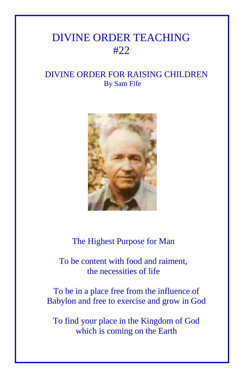## DIVINE ORDER TEACHING #22

## DIVINE ORDER FOR RAISING CHILDREN By Sam Fife



The Highest Purpose for Man

 To be content with food and raiment, the necessities of life

To be in a place free from the influence of Babylon and free to exercise and grow in God

To find your place in the Kingdom of God which is coming on the Earth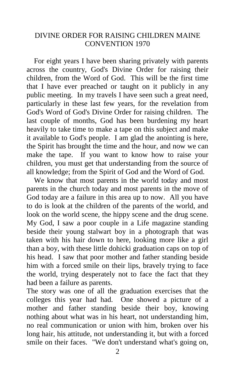## DIVINE ORDER FOR RAISING CHILDREN MAINE CONVENTION 1970

 For eight years I have been sharing privately with parents across the country, God's Divine Order for raising their children, from the Word of God. This will be the first time that I have ever preached or taught on it publicly in any public meeting. In my travels I have seen such a great need, particularly in these last few years, for the revelation from God's Word of God's Divine Order for raising children. The last couple of months, God has been burdening my heart heavily to take time to make a tape on this subject and make it available to God's people. I am glad the anointing is here, the Spirit has brought the time and the hour, and now we can make the tape. If you want to know how to raise your children, you must get that understanding from the source of all knowledge; from the Spirit of God and the Word of God.

We know that most parents in the world today and most parents in the church today and most parents in the move of God today are a failure in this area up to now. All you have to do is look at the children of the parents of the world, and look on the world scene, the hippy scene and the drug scene. My God, I saw a poor couple in a Life magazine standing beside their young stalwart boy in a photograph that was taken with his hair down to here, looking more like a girl than a boy, with these little dohicki graduation caps on top of his head. I saw that poor mother and father standing beside him with a forced smile on their lips, bravely trying to face the world, trying desperately not to face the fact that they had been a failure as parents.

The story was one of all the graduation exercises that the colleges this year had had. One showed a picture of a mother and father standing beside their boy, knowing nothing about what was in his heart, not understanding him, no real communication or union with him, broken over his long hair, his attitude, not understanding it, but with a forced smile on their faces. "We don't understand what's going on,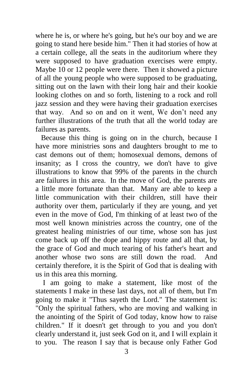where he is, or where he's going, but he's our boy and we are going to stand here beside him." Then it had stories of how at a certain college, all the seats in the auditorium where they were supposed to have graduation exercises were empty. Maybe 10 or 12 people were there. Then it showed a picture of all the young people who were supposed to be graduating, sitting out on the lawn with their long hair and their kookie looking clothes on and so forth, listening to a rock and roll jazz session and they were having their graduation exercises that way. And so on and on it went, We don't need any further illustrations of the truth that all the world today are failures as parents.

 Because this thing is going on in the church, because I have more ministries sons and daughters brought to me to cast demons out of them; homosexual demons, demons of insanity; as I cross the country, we don't have to give illustrations to know that 99% of the parents in the church are failures in this area. In the move of God, the parents are a little more fortunate than that. Many are able to keep a little communication with their children, still have their authority over them, particularly if they are young, and yet even in the move of God, I'm thinking of at least two of the most well known ministries across the country, one of the greatest healing ministries of our time, whose son has just come back up off the dope and hippy route and all that, by the grace of God and much tearing of his father's heart and another whose two sons are still down the road. And certainly therefore, it is the Spirit of God that is dealing with us in this area this morning.

 I am going to make a statement, like most of the statements I make in these last days, not all of them, but I'm going to make it "Thus sayeth the Lord." The statement is: "Only the spiritual fathers, who are moving and walking in the anointing of the Spirit of God today, know how to raise children." If it doesn't get through to you and you don't clearly understand it, just seek God on it, and I will explain it to you. The reason I say that is because only Father God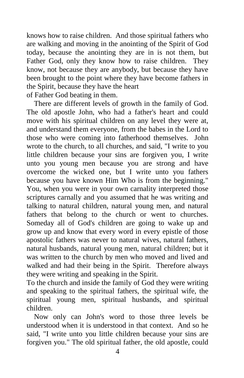knows how to raise children. And those spiritual fathers who are walking and moving in the anointing of the Spirit of God today, because the anointing they are in is not them, but Father God, only they know how to raise children. They know, not because they are anybody, but because they have been brought to the point where they have become fathers in the Spirit, because they have the heart of Father God beating in them.

 There are different levels of growth in the family of God. The old apostle John, who had a father's heart and could move with his spiritual children on any level they were at, and understand them everyone, from the babes in the Lord to those who were coming into fatherhood themselves. John wrote to the church, to all churches, and said, "I write to you little children because your sins are forgiven you, I write unto you young men because you are strong and have overcome the wicked one, but I write unto you fathers because you have known Him Who is from the beginning." You, when you were in your own carnality interpreted those scriptures carnally and you assumed that he was writing and talking to natural children, natural young men, and natural fathers that belong to the church or went to churches. Someday all of God's children are going to wake up and grow up and know that every word in every epistle of those apostolic fathers was never to natural wives, natural fathers, natural husbands, natural young men, natural children; but it was written to the church by men who moved and lived and walked and had their being in the Spirit. Therefore always they were writing and speaking in the Spirit.

To the church and inside the family of God they were writing and speaking to the spiritual fathers, the spiritual wife, the spiritual young men, spiritual husbands, and spiritual children.

 Now only can John's word to those three levels be understood when it is understood in that context. And so he said, "I write unto you little children because your sins are forgiven you." The old spiritual father, the old apostle, could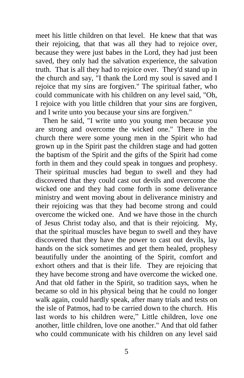meet his little children on that level. He knew that that was their rejoicing, that that was all they had to rejoice over, because they were just babes in the Lord, they had just been saved, they only had the salvation experience, the salvation truth. That is all they had to rejoice over. They'd stand up in the church and say, "I thank the Lord my soul is saved and I rejoice that my sins are forgiven." The spiritual father, who could communicate with his children on any level said, "Oh, I rejoice with you little children that your sins are forgiven, and I write unto you because your sins are forgiven."

 Then he said, "I write unto you young men because you are strong and overcome the wicked one." There in the church there were some young men in the Spirit who had grown up in the Spirit past the children stage and had gotten the baptism of the Spirit and the gifts of the Spirit had come forth in them and they could speak in tongues and prophesy. Their spiritual muscles had begun to swell and they had discovered that they could cast out devils and overcome the wicked one and they had come forth in some deliverance ministry and went moving about in deliverance ministry and their rejoicing was that they had become strong and could overcome the wicked one. And we have those in the church of Jesus Christ today also, and that is their rejoicing. My, that the spiritual muscles have begun to swell and they have discovered that they have the power to cast out devils, lay hands on the sick sometimes and get them healed, prophesy beautifully under the anointing of the Spirit, comfort and exhort others and that is their life. They are rejoicing that they have become strong and have overcome the wicked one. And that old father in the Spirit, so tradition says, when he became so old in his physical being that he could no longer walk again, could hardly speak, after many trials and tests on the isle of Patmos, had to be carried down to the church. His last words to his children were," Little children, love one another, little children, love one another." And that old father who could communicate with his children on any level said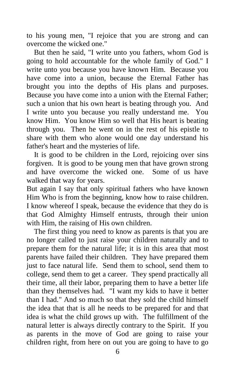to his young men, "I rejoice that you are strong and can overcome the wicked one."

 But then he said, "I write unto you fathers, whom God is going to hold accountable for the whole family of God." I write unto you because you have known Him. Because you have come into a union, because the Eternal Father has brought you into the depths of His plans and purposes. Because you have come into a union with the Eternal Father; such a union that his own heart is beating through you. And I write unto you because you really understand me. You know Him. You know Him so well that His heart is beating through you. Then he went on in the rest of his epistle to share with them who alone would one day understand his father's heart and the mysteries of life.

 It is good to be children in the Lord, rejoicing over sins forgiven. It is good to be young men that have grown strong and have overcome the wicked one. Some of us have walked that way for years.

But again I say that only spiritual fathers who have known Him Who is from the beginning, know how to raise children. I know whereof I speak, because the evidence that they do is that God Almighty Himself entrusts, through their union with Him, the raising of His own children.

 The first thing you need to know as parents is that you are no longer called to just raise your children naturally and to prepare them for the natural life; it is in this area that most parents have failed their children. They have prepared them just to face natural life. Send them to school, send them to college, send them to get a career. They spend practically all their time, all their labor, preparing them to have a better life than they themselves had. "I want my kids to have it better than I had." And so much so that they sold the child himself the idea that that is all he needs to be prepared for and that idea is what the child grows up with. The fulfillment of the natural letter is always directly contrary to the Spirit. If you as parents in the move of God are going to raise your children right, from here on out you are going to have to go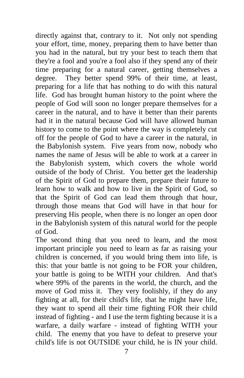directly against that, contrary to it. Not only not spending your effort, time, money, preparing them to have better than you had in the natural, but try your best to teach them that they're a fool and you're a fool also if they spend any of their time preparing for a natural career, getting themselves a degree. They better spend 99% of their time, at least, preparing for a life that has nothing to do with this natural life. God has brought human history to the point where the people of God will soon no longer prepare themselves for a career in the natural, and to have it better than their parents had it in the natural because God will have allowed human history to come to the point where the way is completely cut off for the people of God to have a career in the natural, in the Babylonish system. Five years from now, nobody who names the name of Jesus will be able to work at a career in the Babylonish system, which covers the whole world outside of the body of Christ. You better get the leadership of the Spirit of God to prepare them, prepare their future to learn how to walk and how to live in the Spirit of God, so that the Spirit of God can lead them through that hour, through those means that God will have in that hour for preserving His people, when there is no longer an open door in the Babylonish system of this natural world for the people of God.

The second thing that you need to learn, and the most important principle you need to learn as far as raising your children is concerned, if you would bring them into life, is this: that your battle is not going to be FOR your children, your battle is going to be WITH your children. And that's where 99% of the parents in the world, the church, and the move of God miss it. They very foolishly, if they do any fighting at all, for their child's life, that he might have life, they want to spend all their time fighting FOR their child instead of fighting - and I use the term fighting because it is a warfare, a daily warfare - instead of fighting WITH your child. The enemy that you have to defeat to preserve your child's life is not OUTSIDE your child, he is IN your child.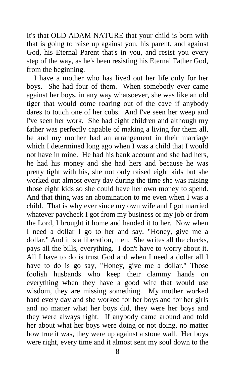It's that OLD ADAM NATURE that your child is born with that is going to raise up against you, his parent, and against God, his Eternal Parent that's in you, and resist you every step of the way, as he's been resisting his Eternal Father God, from the beginning.

 I have a mother who has lived out her life only for her boys. She had four of them. When somebody ever came against her boys, in any way whatsoever, she was like an old tiger that would come roaring out of the cave if anybody dares to touch one of her cubs. And I've seen her weep and I've seen her work. She had eight children and although my father was perfectly capable of making a living for them all, he and my mother had an arrangement in their marriage which I determined long ago when I was a child that I would not have in mine. He had his bank account and she had hers, he had his money and she had hers and because he was pretty tight with his, she not only raised eight kids but she worked out almost every day during the time she was raising those eight kids so she could have her own money to spend. And that thing was an abomination to me even when I was a child. That is why ever since my own wife and I got married whatever paycheck I got from my business or my job or from the Lord, I brought it home and handed it to her. Now when I need a dollar I go to her and say, "Honey, give me a dollar." And it is a liberation, men. She writes all the checks, pays all the bills, everything. I don't have to worry about it. All I have to do is trust God and when I need a dollar all I have to do is go say, "Honey, give me a dollar." Those foolish husbands who keep their clammy hands on everything when they have a good wife that would use wisdom, they are missing something. My mother worked hard every day and she worked for her boys and for her girls and no matter what her boys did, they were her boys and they were always right. If anybody came around and told her about what her boys were doing or not doing, no matter how true it was, they were up against a stone wall. Her boys were right, every time and it almost sent my soul down to the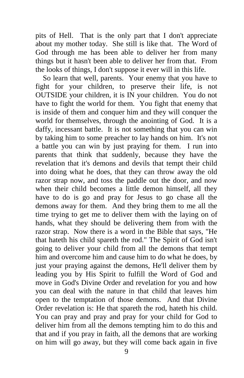pits of Hell. That is the only part that I don't appreciate about my mother today. She still is like that. The Word of God through me has been able to deliver her from many things but it hasn't been able to deliver her from that. From the looks of things, I don't suppose it ever will in this life.

 So learn that well, parents. Your enemy that you have to fight for your children, to preserve their life, is not OUTSIDE your children, it is IN your children. You do not have to fight the world for them. You fight that enemy that is inside of them and conquer him and they will conquer the world for themselves, through the anointing of God. It is a daffy, incessant battle. It is not something that you can win by taking him to some preacher to lay hands on him. It's not a battle you can win by just praying for them. I run into parents that think that suddenly, because they have the revelation that it's demons and devils that tempt their child into doing what he does, that they can throw away the old razor strap now, and toss the paddle out the door, and now when their child becomes a little demon himself, all they have to do is go and pray for Jesus to go chase all the demons away for them. And they bring them to me all the time trying to get me to deliver them with the laying on of hands, what they should be delivering them from with the razor strap. Now there is a word in the Bible that says, "He that hateth his child spareth the rod." The Spirit of God isn't going to deliver your child from all the demons that tempt him and overcome him and cause him to do what he does, by just your praying against the demons, He'll deliver them by leading you by His Spirit to fulfill the Word of God and move in God's Divine Order and revelation for you and how you can deal with the nature in that child that leaves him open to the temptation of those demons. And that Divine Order revelation is: He that spareth the rod, hateth his child. You can pray and pray and pray for your child for God to deliver him from all the demons tempting him to do this and that and if you pray in faith, all the demons that are working on him will go away, but they will come back again in five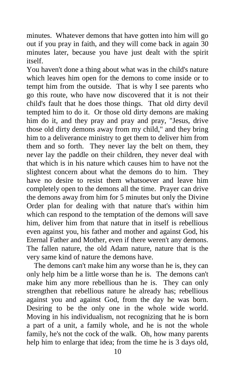minutes. Whatever demons that have gotten into him will go out if you pray in faith, and they will come back in again 30 minutes later, because you have just dealt with the spirit itself.

You haven't done a thing about what was in the child's nature which leaves him open for the demons to come inside or to tempt him from the outside. That is why I see parents who go this route, who have now discovered that it is not their child's fault that he does those things. That old dirty devil tempted him to do it. Or those old dirty demons are making him do it, and they pray and pray and pray, "Jesus, drive those old dirty demons away from my child," and they bring him to a deliverance ministry to get them to deliver him from them and so forth. They never lay the belt on them, they never lay the paddle on their children, they never deal with that which is in his nature which causes him to have not the slightest concern about what the demons do to him. They have no desire to resist them whatsoever and leave him completely open to the demons all the time. Prayer can drive the demons away from him for 5 minutes but only the Divine Order plan for dealing with that nature that's within him which can respond to the temptation of the demons will save him, deliver him from that nature that in itself is rebellious even against you, his father and mother and against God, his Eternal Father and Mother, even if there weren't any demons. The fallen nature, the old Adam nature, nature that is the very same kind of nature the demons have.

 The demons can't make him any worse than he is, they can only help him be a little worse than he is. The demons can't make him any more rebellious than he is. They can only strengthen that rebellious nature he already has; rebellious against you and against God, from the day he was born. Desiring to be the only one in the whole wide world. Moving in his individualism, not recognizing that he is born a part of a unit, a family whole, and he is not the whole family, he's not the cock of the walk. Oh, how many parents help him to enlarge that idea; from the time he is 3 days old,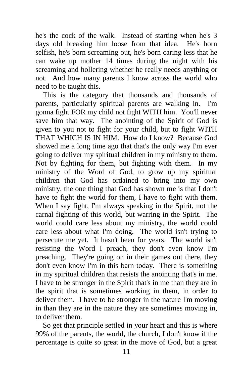he's the cock of the walk. Instead of starting when he's 3 days old breaking him loose from that idea. He's born selfish, he's born screaming out, he's born caring less that he can wake up mother 14 times during the night with his screaming and hollering whether he really needs anything or not. And how many parents I know across the world who need to be taught this.

 This is the category that thousands and thousands of parents, particularly spiritual parents are walking in. I'm gonna fight FOR my child not fight WITH him. You'll never save him that way. The anointing of the Spirit of God is given to you not to fight for your child, but to fight WITH THAT WHICH IS IN HIM. How do I know? Because God showed me a long time ago that that's the only way I'm ever going to deliver my spiritual children in my ministry to them. Not by fighting for them, but fighting with them. In my ministry of the Word of God, to grow up my spiritual children that God has ordained to bring into my own ministry, the one thing that God has shown me is that I don't have to fight the world for them, I have to fight with them. When I say fight, I'm always speaking in the Spirit, not the carnal fighting of this world, but warring in the Spirit. The world could care less about my ministry, the world could care less about what I'm doing. The world isn't trying to persecute me yet. It hasn't been for years. The world isn't resisting the Word I preach, they don't even know I'm preaching. They're going on in their games out there, they don't even know I'm in this barn today. There is something in my spiritual children that resists the anointing that's in me. I have to be stronger in the Spirit that's in me than they are in the spirit that is sometimes working in them, in order to deliver them. I have to be stronger in the nature I'm moving in than they are in the nature they are sometimes moving in, to deliver them.

 So get that principle settled in your heart and this is where 99% of the parents, the world, the church, I don't know if the percentage is quite so great in the move of God, but a great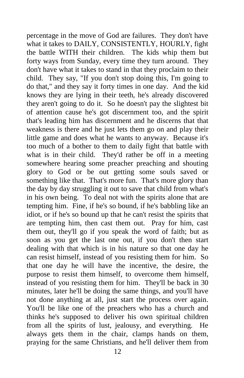percentage in the move of God are failures. They don't have what it takes to DAILY, CONSISTENTLY, HOURLY, fight the battle WITH their children. The kids whip them but forty ways from Sunday, every time they turn around. They don't have what it takes to stand in that they proclaim to their child. They say, "If you don't stop doing this, I'm going to do that," and they say it forty times in one day. And the kid knows they are lying in their teeth, he's already discovered they aren't going to do it. So he doesn't pay the slightest bit of attention cause he's got discernment too, and the spirit that's leading him has discernment and he discerns that that weakness is there and he just lets them go on and play their little game and does what he wants to anyway. Because it's too much of a bother to them to daily fight that battle with what is in their child. They'd rather be off in a meeting somewhere hearing some preacher preaching and shouting glory to God or be out getting some souls saved or something like that. That's more fun. That's more glory than the day by day struggling it out to save that child from what's in his own being. To deal not with the spirits alone that are tempting him. Fine, if he's so bound, if he's babbling like an idiot, or if he's so bound up that he can't resist the spirits that are tempting him, then cast them out. Pray for him, cast them out, they'll go if you speak the word of faith; but as soon as you get the last one out, if you don't then start dealing with that which is in his nature so that one day he can resist himself, instead of you resisting them for him. So that one day he will have the incentive, the desire, the purpose to resist them himself, to overcome them himself, instead of you resisting them for him. They'll be back in 30 minutes, later he'll be doing the same things, and you'll have not done anything at all, just start the process over again. You'll be like one of the preachers who has a church and thinks he's supposed to deliver his own spiritual children from all the spirits of lust, jealousy, and everything. He always gets them in the chair, clamps hands on them, praying for the same Christians, and he'll deliver them from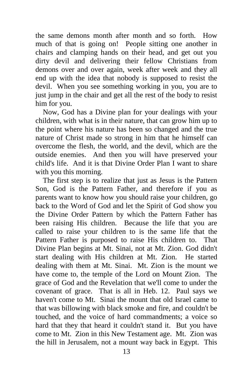the same demons month after month and so forth. How much of that is going on! People sitting one another in chairs and clamping hands on their head, and get out you dirty devil and delivering their fellow Christians from demons over and over again, week after week and they all end up with the idea that nobody is supposed to resist the devil. When you see something working in you, you are to just jump in the chair and get all the rest of the body to resist him for you.

 Now, God has a Divine plan for your dealings with your children, with what is in their nature, that can grow him up to the point where his nature has been so changed and the true nature of Christ made so strong in him that he himself can overcome the flesh, the world, and the devil, which are the outside enemies. And then you will have preserved your child's life. And it is that Divine Order Plan I want to share with you this morning.

 The first step is to realize that just as Jesus is the Pattern Son, God is the Pattern Father, and therefore if you as parents want to know how you should raise your children, go back to the Word of God and let the Spirit of God show you the Divine Order Pattern by which the Pattern Father has been raising His children. Because the life that you are called to raise your children to is the same life that the Pattern Father is purposed to raise His children to. That Divine Plan begins at Mt. Sinai, not at Mt. Zion. God didn't start dealing with His children at Mt. Zion. He started dealing with them at Mt. Sinai. Mt. Zion is the mount we have come to, the temple of the Lord on Mount Zion. The grace of God and the Revelation that we'll come to under the covenant of grace. That is all in Heb. 12. Paul says we haven't come to Mt. Sinai the mount that old Israel came to that was billowing with black smoke and fire, and couldn't be touched, and the voice of hard commandments; a voice so hard that they that heard it couldn't stand it. But you have come to Mt. Zion in this New Testament age. Mt. Zion was the hill in Jerusalem, not a mount way back in Egypt. This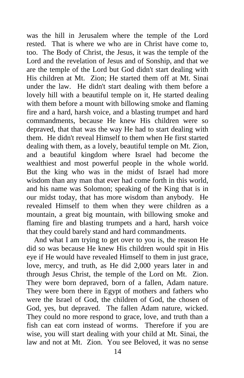was the hill in Jerusalem where the temple of the Lord rested. That is where we who are in Christ have come to, too. The Body of Christ, the Jesus, it was the temple of the Lord and the revelation of Jesus and of Sonship, and that we are the temple of the Lord but God didn't start dealing with His children at Mt. Zion; He started them off at Mt. Sinai under the law. He didn't start dealing with them before a lovely hill with a beautiful temple on it, He started dealing with them before a mount with billowing smoke and flaming fire and a hard, harsh voice, and a blasting trumpet and hard commandments, because He knew His children were so depraved, that that was the way He had to start dealing with them. He didn't reveal Himself to them when He first started dealing with them, as a lovely, beautiful temple on Mt. Zion, and a beautiful kingdom where Israel had become the wealthiest and most powerful people in the whole world. But the king who was in the midst of Israel had more wisdom than any man that ever had come forth in this world, and his name was Solomon; speaking of the King that is in our midst today, that has more wisdom than anybody. He revealed Himself to them when they were children as a mountain, a great big mountain, with billowing smoke and flaming fire and blasting trumpets and a hard, harsh voice that they could barely stand and hard commandments.

 And what I am trying to get over to you is, the reason He did so was because He knew His children would spit in His eye if He would have revealed Himself to them in just grace, love, mercy, and truth, as He did 2,000 years later in and through Jesus Christ, the temple of the Lord on Mt. Zion. They were born depraved, born of a fallen, Adam nature. They were born there in Egypt of mothers and fathers who were the Israel of God, the children of God, the chosen of God, yes, but depraved. The fallen Adam nature, wicked. They could no more respond to grace, love, and truth than a fish can eat corn instead of worms. Therefore if you are wise, you will start dealing with your child at Mt. Sinai, the law and not at Mt. Zion. You see Beloved, it was no sense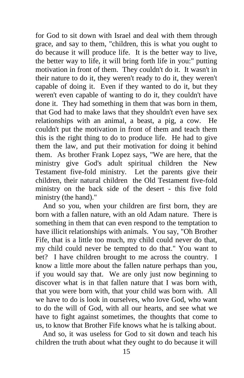for God to sit down with Israel and deal with them through grace, and say to them, "children, this is what you ought to do because it will produce life. It is the better way to live, the better way to life, it will bring forth life in you:" putting motivation in front of them. They couldn't do it. It wasn't in their nature to do it, they weren't ready to do it, they weren't capable of doing it. Even if they wanted to do it, but they weren't even capable of wanting to do it, they couldn't have done it. They had something in them that was born in them, that God had to make laws that they shouldn't even have sex relationships with an animal, a beast, a pig, a cow. He couldn't put the motivation in front of them and teach them this is the right thing to do to produce life. He had to give them the law, and put their motivation for doing it behind them. As brother Frank Lopez says, "We are here, that the ministry give God's adult spiritual children the New Testament five-fold ministry. Let the parents give their children, their natural children the Old Testament five-fold ministry on the back side of the desert - this five fold ministry (the hand)."

 And so you, when your children are first born, they are born with a fallen nature, with an old Adam nature. There is something in them that can even respond to the temptation to have illicit relationships with animals. You say, "Oh Brother Fife, that is a little too much, my child could never do that, my child could never be tempted to do that." You want to bet? I have children brought to me across the country. I know a little more about the fallen nature perhaps than you, if you would say that. We are only just now beginning to discover what is in that fallen nature that I was born with, that you were born with, that your child was born with. All we have to do is look in ourselves, who love God, who want to do the will of God, with all our hearts, and see what we have to fight against sometimes, the thoughts that come to us, to know that Brother Fife knows what he is talking about.

 And so, it was useless for God to sit down and teach his children the truth about what they ought to do because it will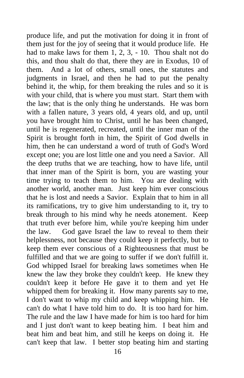produce life, and put the motivation for doing it in front of them just for the joy of seeing that it would produce life. He had to make laws for them 1, 2, 3, - 10. Thou shalt not do this, and thou shalt do that, there they are in Exodus, 10 of them. And a lot of others, small ones, the statutes and judgments in Israel, and then he had to put the penalty behind it, the whip, for them breaking the rules and so it is with your child, that is where you must start. Start them with the law; that is the only thing he understands. He was born with a fallen nature, 3 years old, 4 years old, and up, until you have brought him to Christ, until he has been changed, until he is regenerated, recreated, until the inner man of the Spirit is brought forth in him, the Spirit of God dwells in him, then he can understand a word of truth of God's Word except one; you are lost little one and you need a Savior. All the deep truths that we are teaching, how to have life, until that inner man of the Spirit is born, you are wasting your time trying to teach them to him. You are dealing with another world, another man. Just keep him ever conscious that he is lost and needs a Savior. Explain that to him in all its ramifications, try to give him understanding to it, try to break through to his mind why he needs atonement. Keep that truth ever before him, while you're keeping him under the law. God gave Israel the law to reveal to them their helplessness, not because they could keep it perfectly, but to keep them ever conscious of a Righteousness that must be fulfilled and that we are going to suffer if we don't fulfill it. God whipped Israel for breaking laws sometimes when He knew the law they broke they couldn't keep. He knew they couldn't keep it before He gave it to them and yet He whipped them for breaking it. How many parents say to me, I don't want to whip my child and keep whipping him. He can't do what I have told him to do. It is too hard for him. The rule and the law I have made for him is too hard for him and I just don't want to keep beating him. I beat him and beat him and beat him, and still he keeps on doing it. He can't keep that law. I better stop beating him and starting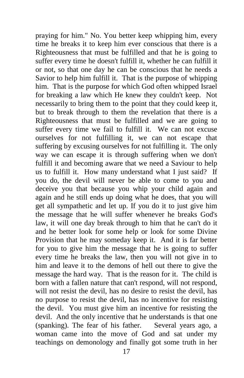praying for him." No. You better keep whipping him, every time he breaks it to keep him ever conscious that there is a Righteousness that must be fulfilled and that he is going to suffer every time he doesn't fulfill it, whether he can fulfill it or not, so that one day he can be conscious that he needs a Savior to help him fulfill it. That is the purpose of whipping him. That is the purpose for which God often whipped Israel for breaking a law which He knew they couldn't keep. Not necessarily to bring them to the point that they could keep it, but to break through to them the revelation that there is a Righteousness that must be fulfilled and we are going to suffer every time we fail to fulfill it. We can not excuse ourselves for not fulfilling it, we can not escape that suffering by excusing ourselves for not fulfilling it. The only way we can escape it is through suffering when we don't fulfill it and becoming aware that we need a Saviour to help us to fulfill it. How many understand what I just said? If you do, the devil will never be able to come to you and deceive you that because you whip your child again and again and he still ends up doing what he does, that you will get all sympathetic and let up. If you do it to just give him the message that he will suffer whenever he breaks God's law, it will one day break through to him that he can't do it and he better look for some help or look for some Divine Provision that he may someday keep it. And it is far better for you to give him the message that he is going to suffer every time he breaks the law, then you will not give in to him and leave it to the demons of hell out there to give the message the hard way. That is the reason for it. The child is born with a fallen nature that can't respond, will not respond, will not resist the devil, has no desire to resist the devil, has no purpose to resist the devil, has no incentive for resisting the devil. You must give him an incentive for resisting the devil. And the only incentive that he understands is that one (spanking). The fear of his father. Several years ago, a woman came into the move of God and sat under my teachings on demonology and finally got some truth in her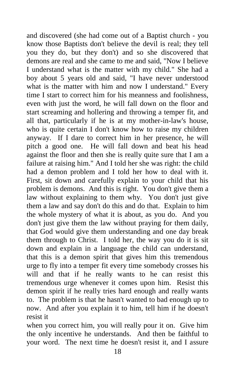and discovered (she had come out of a Baptist church - you know those Baptists don't believe the devil is real; they tell you they do, but they don't) and so she discovered that demons are real and she came to me and said, "Now I believe I understand what is the matter with my child." She had a boy about 5 years old and said, "I have never understood what is the matter with him and now I understand." Every time I start to correct him for his meanness and foolishness, even with just the word, he will fall down on the floor and start screaming and hollering and throwing a temper fit, and all that, particularly if he is at my mother-in-law's house, who is quite certain I don't know how to raise my children anyway. If I dare to correct him in her presence, he will pitch a good one. He will fall down and beat his head against the floor and then she is really quite sure that I am a failure at raising him." And I told her she was right: the child had a demon problem and I told her how to deal with it. First, sit down and carefully explain to your child that his problem is demons. And this is right. You don't give them a law without explaining to them why. You don't just give them a law and say don't do this and do that. Explain to him the whole mystery of what it is about, as you do. And you don't just give them the law without praying for them daily, that God would give them understanding and one day break them through to Christ. I told her, the way you do it is sit down and explain in a language the child can understand, that this is a demon spirit that gives him this tremendous urge to fly into a temper fit every time somebody crosses his will and that if he really wants to he can resist this tremendous urge whenever it comes upon him. Resist this demon spirit if he really tries hard enough and really wants to. The problem is that he hasn't wanted to bad enough up to now. And after you explain it to him, tell him if he doesn't resist it

when you correct him, you will really pour it on. Give him the only incentive he understands. And then be faithful to your word. The next time he doesn't resist it, and I assure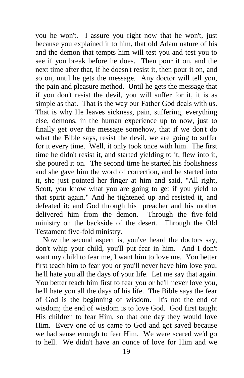you he won't. I assure you right now that he won't, just because you explained it to him, that old Adam nature of his and the demon that tempts him will test you and test you to see if you break before he does. Then pour it on, and the next time after that, if he doesn't resist it, then pour it on, and so on, until he gets the message. Any doctor will tell you, the pain and pleasure method. Until he gets the message that if you don't resist the devil, you will suffer for it, it is as simple as that. That is the way our Father God deals with us. That is why He leaves sickness, pain, suffering, everything else, demons, in the human experience up to now, just to finally get over the message somehow, that if we don't do what the Bible says, resist the devil, we are going to suffer for it every time. Well, it only took once with him. The first time he didn't resist it, and started yielding to it, flew into it, she poured it on. The second time he started his foolishness and she gave him the word of correction, and he started into it, she just pointed her finger at him and said, "All right, Scott, you know what you are going to get if you yield to that spirit again." And he tightened up and resisted it, and defeated it; and God through his preacher and his mother delivered him from the demon. Through the five-fold ministry on the backside of the desert. Through the Old Testament five-fold ministry.

 Now the second aspect is, you've heard the doctors say, don't whip your child, you'll put fear in him. And I don't want my child to fear me, I want him to love me. You better first teach him to fear you or you'll never have him love you; he'll hate you all the days of your life. Let me say that again. You better teach him first to fear you or he'll never love you, he'll hate you all the days of his life. The Bible says the fear of God is the beginning of wisdom. It's not the end of wisdom; the end of wisdom is to love God. God first taught His children to fear Him, so that one day they would love Him. Every one of us came to God and got saved because we had sense enough to fear Him. We were scared we'd go to hell. We didn't have an ounce of love for Him and we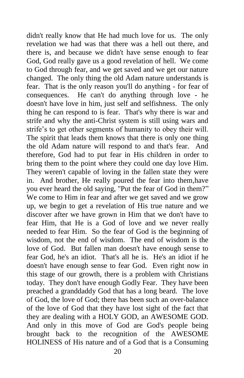didn't really know that He had much love for us. The only revelation we had was that there was a hell out there, and there is, and because we didn't have sense enough to fear God, God really gave us a good revelation of hell. We come to God through fear, and we get saved and we get our nature changed. The only thing the old Adam nature understands is fear. That is the only reason you'll do anything - for fear of consequences. He can't do anything through love - he doesn't have love in him, just self and selfishness. The only thing he can respond to is fear. That's why there is war and strife and why the anti-Christ system is still using wars and strife's to get other segments of humanity to obey their will. The spirit that leads them knows that there is only one thing the old Adam nature will respond to and that's fear. And therefore, God had to put fear in His children in order to bring them to the point where they could one day love Him. They weren't capable of loving in the fallen state they were in. And brother, He really poured the fear into them,have you ever heard the old saying, "Put the fear of God in them?" We come to Him in fear and after we get saved and we grow up, we begin to get a revelation of His true nature and we discover after we have grown in Him that we don't have to fear Him, that He is a God of love and we never really needed to fear Him. So the fear of God is the beginning of wisdom, not the end of wisdom. The end of wisdom is the love of God. But fallen man doesn't have enough sense to fear God, he's an idiot. That's all he is. He's an idiot if he doesn't have enough sense to fear God. Even right now in this stage of our growth, there is a problem with Christians today. They don't have enough Godly Fear. They have been preached a granddaddy God that has a long beard. The love of God, the love of God; there has been such an over-balance of the love of God that they have lost sight of the fact that they are dealing with a HOLY GOD, an AWESOME GOD. And only in this move of God are God's people being brought back to the recognition of the AWESOME HOLINESS of His nature and of a God that is a Consuming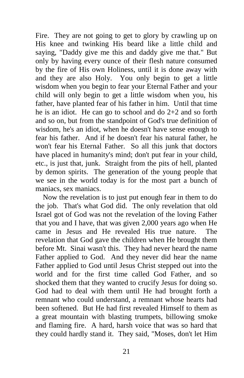Fire. They are not going to get to glory by crawling up on His knee and twinking His beard like a little child and saying, "Daddy give me this and daddy give me that." But only by having every ounce of their flesh nature consumed by the fire of His own Holiness, until it is done away with and they are also Holy. You only begin to get a little wisdom when you begin to fear your Eternal Father and your child will only begin to get a little wisdom when you, his father, have planted fear of his father in him. Until that time he is an idiot. He can go to school and do 2+2 and so forth and so on, but from the standpoint of God's true definition of wisdom, he's an idiot, when he doesn't have sense enough to fear his father. And if he doesn't fear his natural father, he won't fear his Eternal Father. So all this junk that doctors have placed in humanity's mind; don't put fear in your child, etc., is just that, junk. Straight from the pits of hell, planted by demon spirits. The generation of the young people that we see in the world today is for the most part a bunch of maniacs, sex maniacs.

 Now the revelation is to just put enough fear in them to do the job. That's what God did. The only revelation that old Israel got of God was not the revelation of the loving Father that you and I have, that was given 2,000 years ago when He came in Jesus and He revealed His true nature. The revelation that God gave the children when He brought them before Mt. Sinai wasn't this. They had never heard the name Father applied to God. And they never did hear the name Father applied to God until Jesus Christ stepped out into the world and for the first time called God Father, and so shocked them that they wanted to crucify Jesus for doing so. God had to deal with them until He had brought forth a remnant who could understand, a remnant whose hearts had been softened. But He had first revealed Himself to them as a great mountain with blasting trumpets, billowing smoke and flaming fire. A hard, harsh voice that was so hard that they could hardly stand it. They said, "Moses, don't let Him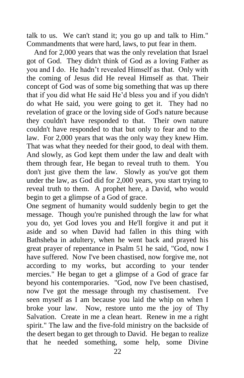talk to us. We can't stand it; you go up and talk to Him." Commandments that were hard, laws, to put fear in them.

 And for 2,000 years that was the only revelation that Israel got of God. They didn't think of God as a loving Father as you and I do. He hadn't revealed Himself as that. Only with the coming of Jesus did He reveal Himself as that. Their concept of God was of some big something that was up there that if you did what He said He'd bless you and if you didn't do what He said, you were going to get it. They had no revelation of grace or the loving side of God's nature because they couldn't have responded to that. Their own nature couldn't have responded to that but only to fear and to the law. For 2,000 years that was the only way they knew Him. That was what they needed for their good, to deal with them. And slowly, as God kept them under the law and dealt with them through fear, He began to reveal truth to them. You don't just give them the law. Slowly as you've got them under the law, as God did for 2,000 years, you start trying to reveal truth to them. A prophet here, a David, who would begin to get a glimpse of a God of grace.

One segment of humanity would suddenly begin to get the message. Though you're punished through the law for what you do, yet God loves you and He'll forgive it and put it aside and so when David had fallen in this thing with Bathsheba in adultery, when he went back and prayed his great prayer of repentance in Psalm 51 he said, "God, now I have suffered. Now I've been chastised, now forgive me, not according to my works, but according to your tender mercies." He began to get a glimpse of a God of grace far beyond his contemporaries. "God, now I've been chastised, now I've got the message through my chastisement. I've seen myself as I am because you laid the whip on when I broke your law. Now, restore unto me the joy of Thy Salvation. Create in me a clean heart. Renew in me a right spirit." The law and the five-fold ministry on the backside of the desert began to get through to David. He began to realize that he needed something, some help, some Divine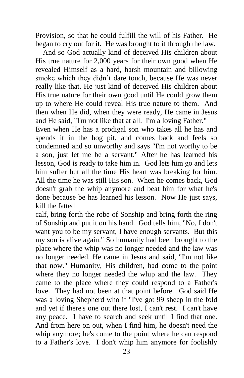Provision, so that he could fulfill the will of his Father. He began to cry out for it. He was brought to it through the law.

 And so God actually kind of deceived His children about His true nature for 2,000 years for their own good when He revealed Himself as a hard, harsh mountain and billowing smoke which they didn't dare touch, because He was never really like that. He just kind of deceived His children about His true nature for their own good until He could grow them up to where He could reveal His true nature to them. And then when He did, when they were ready, He came in Jesus and He said, "I'm not like that at all. I'm a loving Father."

Even when He has a prodigal son who takes all he has and spends it in the hog pit, and comes back and feels so condemned and so unworthy and says "I'm not worthy to be a son, just let me be a servant." After he has learned his lesson, God is ready to take him in. God lets him go and lets him suffer but all the time His heart was breaking for him. All the time he was still His son. When he comes back, God doesn't grab the whip anymore and beat him for what he's done because be has learned his lesson. Now He just says, kill the fatted

calf, bring forth the robe of Sonship and bring forth the ring of Sonship and put it on his hand. God tells him, "No, I don't want you to be my servant, I have enough servants. But this my son is alive again." So humanity had been brought to the place where the whip was no longer needed and the law was no longer needed. He came in Jesus and said, "I'm not like that now." Humanity, His children, had come to the point where they no longer needed the whip and the law. They came to the place where they could respond to a Father's love. They had not been at that point before. God said He was a loving Shepherd who if "I've got 99 sheep in the fold and yet if there's one out there lost, I can't rest. I can't have any peace. I have to search and seek until I find that one. And from here on out, when I find him, he doesn't need the whip anymore; he's come to the point where he can respond to a Father's love. I don't whip him anymore for foolishly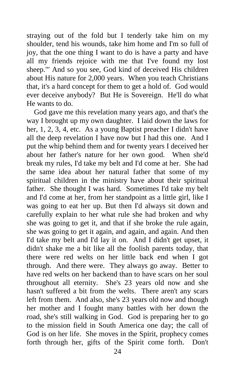straying out of the fold but I tenderly take him on my shoulder, tend his wounds, take him home and I'm so full of joy, that the one thing I want to do is have a party and have all my friends rejoice with me that I've found my lost sheep."' And so you see, God kind of deceived His children about His nature for 2,000 years. When you teach Christians that, it's a hard concept for them to get a hold of. God would ever deceive anybody? But He is Sovereign. He'll do what He wants to do.

 God gave me this revelation many years ago, and that's the way I brought up my own daughter. I laid down the laws for her, 1, 2, 3, 4, etc. As a young Baptist preacher I didn't have all the deep revelation I have now but I had this one. And I put the whip behind them and for twenty years I deceived her about her father's nature for her own good. When she'd break my rules, I'd take my belt and I'd come at her. She had the same idea about her natural father that some of my spiritual children in the ministry have about their spiritual father. She thought I was hard. Sometimes I'd take my belt and I'd come at her, from her standpoint as a little girl, like I was going to eat her up. But then I'd always sit down and carefully explain to her what rule she had broken and why she was going to get it, and that if she broke the rule again, she was going to get it again, and again, and again. And then I'd take my belt and I'd lay it on. And I didn't get upset, it didn't shake me a bit like all the foolish parents today, that there were red welts on her little back end when I got through. And there were. They always go away. Better to have red welts on her backend than to have scars on her soul throughout all eternity. She's 23 years old now and she hasn't suffered a bit from the welts. There aren't any scars left from them. And also, she's 23 years old now and though her mother and I fought many battles with her down the road, she's still walking in God. God is preparing her to go to the mission field in South America one day; the call of God is on her life. She moves in the Spirit, prophecy comes forth through her, gifts of the Spirit come forth. Don't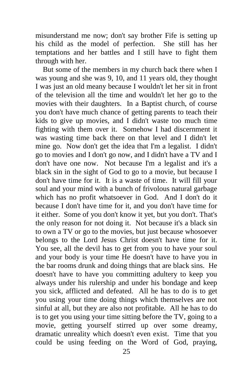misunderstand me now; don't say brother Fife is setting up his child as the model of perfection. She still has her temptations and her battles and I still have to fight them through with her.

 But some of the members in my church back there when I was young and she was 9, 10, and 11 years old, they thought I was just an old meany because I wouldn't let her sit in front of the television all the time and wouldn't let her go to the movies with their daughters. In a Baptist church, of course you don't have much chance of getting parents to teach their kids to give up movies, and I didn't waste too much time fighting with them over it. Somehow I had discernment it was wasting time back there on that level and I didn't let mine go. Now don't get the idea that I'm a legalist. I didn't go to movies and I don't go now, and I didn't have a TV and I don't have one now. Not because I'm a legalist and it's a black sin in the sight of God to go to a movie, but because I don't have time for it. It is a waste of time. It will fill your soul and your mind with a bunch of frivolous natural garbage which has no profit whatsoever in God. And I don't do it because I don't have time for it, and you don't have time for it either. Some of you don't know it yet, but you don't. That's the only reason for not doing it. Not because it's a black sin to own a TV or go to the movies, but just because whosoever belongs to the Lord Jesus Christ doesn't have time for it. You see, all the devil has to get from you to have your soul and your body is your time He doesn't have to have you in the bar rooms drunk and doing things that are black sins. He doesn't have to have you committing adultery to keep you always under his rulership and under his bondage and keep you sick, afflicted and defeated. All he has to do is to get you using your time doing things which themselves are not sinful at all, but they are also not profitable. All he has to do is to get you using your time sitting before the TV, going to a movie, getting yourself stirred up over some dreamy, dramatic unreality which doesn't even exist. Time that you could be using feeding on the Word of God, praying,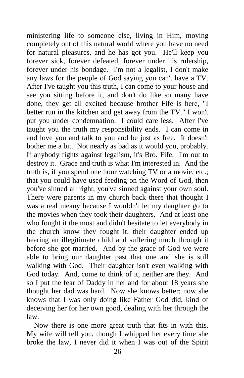ministering life to someone else, living in Him, moving completely out of this natural world where you have no need for natural pleasures, and he has got you. He'll keep you forever sick, forever defeated, forever under his rulership, forever under his bondage. I'm not a legalist, I don't make any laws for the people of God saying you can't have a TV. After I've taught you this truth, I can come to your house and see you sitting before it, and don't do like so many have done, they get all excited because brother Fife is here, "I better run in the kitchen and get away from the TV." I won't put you under condemnation. I could care less. After I've taught you the truth my responsibility ends. I can come in and love you and talk to you and be just as free. It doesn't bother me a bit. Not nearly as bad as it would you, probably. If anybody fights against legalism, it's Bro. Fife. I'm out to destroy it. Grace and truth is what I'm interested in. And the truth is, if you spend one hour watching TV or a movie, etc.; that you could have used feeding on the Word of God, then you've sinned all right, you've sinned against your own soul. There were parents in my church back there that thought I was a real meany because I wouldn't let my daughter go to the movies when they took their daughters. And at least one who fought it the most and didn't hesitate to let everybody in the church know they fought it; their daughter ended up bearing an illegitimate child and suffering much through it before she got married. And by the grace of God we were able to bring our daughter past that one and she is still walking with God. Their daughter isn't even walking with God today. And, come to think of it, neither are they. And so I put the fear of Daddy in her and for about 18 years she thought her dad was hard. Now she knows better; now she knows that I was only doing like Father God did, kind of deceiving her for her own good, dealing with her through the law.

 Now there is one more great truth that fits in with this. My wife will tell you, though I whipped her every time she broke the law, I never did it when I was out of the Spirit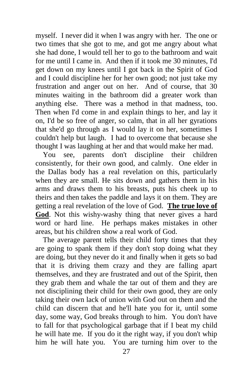myself. I never did it when I was angry with her. The one or two times that she got to me, and got me angry about what she had done, I would tell her to go to the bathroom and wait for me until I came in. And then if it took me 30 minutes, I'd get down on my knees until I got back in the Spirit of God and I could discipline her for her own good; not just take my frustration and anger out on her. And of course, that 30 minutes waiting in the bathroom did a greater work than anything else. There was a method in that madness, too. Then when I'd come in and explain things to her, and lay it on, I'd be so free of anger, so calm, that in all her gyrations that she'd go through as I would lay it on her, sometimes I couldn't help but laugh. I had to overcome that because she thought I was laughing at her and that would make her mad.

 You see, parents don't discipline their children consistently, for their own good, and calmly. One elder in the Dallas body has a real revelation on this, particularly when they are small. He sits down and gathers them in his arms and draws them to his breasts, puts his cheek up to theirs and then takes the paddle and lays it on them. They are getting a real revelation of the love of God. **The true love of God**. Not this wishy-washy thing that never gives a hard word or hard line. He perhaps makes mistakes in other areas, but his children show a real work of God.

 The average parent tells their child forty times that they are going to spank them if they don't stop doing what they are doing, but they never do it and finally when it gets so bad that it is driving them crazy and they are falling apart themselves, and they are frustrated and out of the Spirit, then they grab them and whale the tar out of them and they are not disciplining their child for their own good, they are only taking their own lack of union with God out on them and the child can discern that and he'll hate you for it, until some day, some way, God breaks through to him. You don't have to fall for that psychological garbage that if I beat my child he will hate me. If you do it the right way, if you don't whip him he will hate you. You are turning him over to the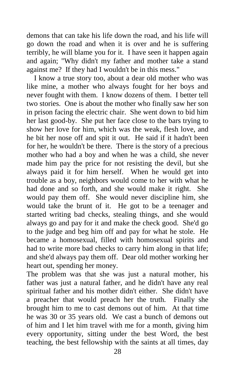demons that can take his life down the road, and his life will go down the road and when it is over and he is suffering terribly, he will blame you for it. I have seen it happen again and again; "Why didn't my father and mother take a stand against me? If they had I wouldn't be in this mess."

 I know a true story too, about a dear old mother who was like mine, a mother who always fought for her boys and never fought with them. I know dozens of them. I better tell two stories. One is about the mother who finally saw her son in prison facing the electric chair. She went down to bid him her last good-by. She put her face close to the bars trying to show her love for him, which was the weak, flesh love, and he bit her nose off and spit it out. He said if it hadn't been for her, he wouldn't be there. There is the story of a precious mother who had a boy and when he was a child, she never made him pay the price for not resisting the devil, but she always paid it for him herself. When he would get into trouble as a boy, neighbors would come to her with what he had done and so forth, and she would make it right. She would pay them off. She would never discipline him, she would take the brunt of it. He got to be a teenager and started writing bad checks, stealing things, and she would always go and pay for it and make the check good. She'd go to the judge and beg him off and pay for what he stole. He became a homosexual, filled with homosexual spirits and had to write more bad checks to carry him along in that life; and she'd always pay them off. Dear old mother working her heart out, spending her money.

The problem was that she was just a natural mother, his father was just a natural father, and he didn't have any real spiritual father and his mother didn't either. She didn't have a preacher that would preach her the truth. Finally she brought him to me to cast demons out of him. At that time he was 30 or 35 years old. We cast a bunch of demons out of him and I let him travel with me for a month, giving him every opportunity, sitting under the best Word, the best teaching, the best fellowship with the saints at all times, day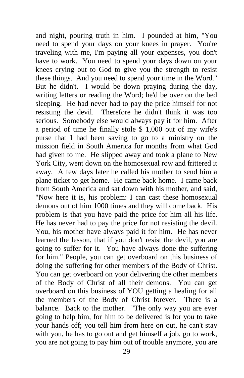and night, pouring truth in him. I pounded at him, "You need to spend your days on your knees in prayer. You're traveling with me, I'm paying all your expenses, you don't have to work. You need to spend your days down on your knees crying out to God to give you the strength to resist these things. And you need to spend your time in the Word." But he didn't. I would be down praying during the day, writing letters or reading the Word; he'd be over on the bed sleeping. He had never had to pay the price himself for not resisting the devil. Therefore he didn't think it was too serious. Somebody else would always pay it for him. After a period of time he finally stole \$ 1,000 out of my wife's purse that I had been saving to go to a ministry on the mission field in South America for months from what God had given to me. He slipped away and took a plane to New York City, went down on the homosexual row and frittered it away. A few days later he called his mother to send him a plane ticket to get home. He came back home. I came back from South America and sat down with his mother, and said, "Now here it is, his problem: I can cast these homosexual demons out of him 1000 times and they will come back. His problem is that you have paid the price for him all his life. He has never had to pay the price for not resisting the devil. You, his mother have always paid it for him. He has never learned the lesson, that if you don't resist the devil, you are going to suffer for it. You have always done the suffering for him." People, you can get overboard on this business of doing the suffering for other members of the Body of Christ. You can get overboard on your delivering the other members of the Body of Christ of all their demons. You can get overboard on this business of YOU getting a healing for all the members of the Body of Christ forever. There is a balance. Back to the mother. "The only way you are ever going to help him, for him to be delivered is for you to take your hands off; you tell him from here on out, he can't stay with you, he has to go out and get himself a job, go to work, you are not going to pay him out of trouble anymore, you are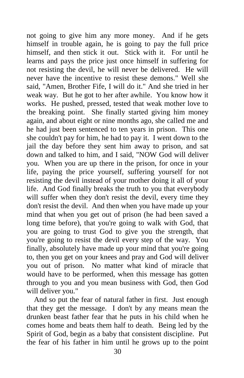not going to give him any more money. And if he gets himself in trouble again, he is going to pay the full price himself, and then stick it out. Stick with it. For until he learns and pays the price just once himself in suffering for not resisting the devil, he will never be delivered. He will never have the incentive to resist these demons." Well she said, "Amen, Brother Fife, I will do it." And she tried in her weak way. But he got to her after awhile. You know how it works. He pushed, pressed, tested that weak mother love to the breaking point. She finally started giving him money again, and about eight or nine months ago, she called me and he had just been sentenced to ten years in prison. This one she couldn't pay for him, he had to pay it. I went down to the jail the day before they sent him away to prison, and sat down and talked to him, and I said, "NOW God will deliver you. When you are up there in the prison, for once in your life, paying the price yourself, suffering yourself for not resisting the devil instead of your mother doing it all of your life. And God finally breaks the truth to you that everybody will suffer when they don't resist the devil, every time they don't resist the devil. And then when you have made up your mind that when you get out of prison (he had been saved a long time before), that you're going to walk with God, that you are going to trust God to give you the strength, that you're going to resist the devil every step of the way. You finally, absolutely have made up your mind that you're going to, then you get on your knees and pray and God will deliver you out of prison. No matter what kind of miracle that would have to be performed, when this message has gotten through to you and you mean business with God, then God will deliver you."

 And so put the fear of natural father in first. Just enough that they get the message. I don't by any means mean the drunken beast father fear that he puts in his child when he comes home and beats them half to death. Being led by the Spirit of God, begin as a baby that consistent discipline. Put the fear of his father in him until he grows up to the point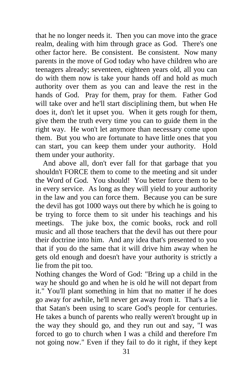that he no longer needs it. Then you can move into the grace realm, dealing with him through grace as God. There's one other factor here. Be consistent. Be consistent. Now many parents in the move of God today who have children who are teenagers already; seventeen, eighteen years old, all you can do with them now is take your hands off and hold as much authority over them as you can and leave the rest in the hands of God. Pray for them, pray for them. Father God will take over and he'll start disciplining them, but when He does it, don't let it upset you. When it gets rough for them, give them the truth every time you can to guide them in the right way. He won't let anymore than necessary come upon them. But you who are fortunate to have little ones that you can start, you can keep them under your authority. Hold them under your authority.

 And above all, don't ever fall for that garbage that you shouldn't FORCE them to come to the meeting and sit under the Word of God. You should! You better force them to be in every service. As long as they will yield to your authority in the law and you can force them. Because you can be sure the devil has got 1000 ways out there by which he is going to be trying to force them to sit under his teachings and his meetings. The juke box, the comic books, rock and roll music and all those teachers that the devil has out there pour their doctrine into him. And any idea that's presented to you that if you do the same that it will drive him away when he gets old enough and doesn't have your authority is strictly a lie from the pit too.

Nothing changes the Word of God: "Bring up a child in the way he should go and when he is old he will not depart from it." You'll plant something in him that no matter if he does go away for awhile, he'll never get away from it. That's a lie that Satan's been using to scare God's people for centuries. He takes a bunch of parents who really weren't brought up in the way they should go, and they run out and say, "I was forced to go to church when I was a child and therefore I'm not going now." Even if they fail to do it right, if they kept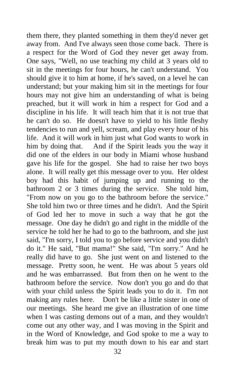them there, they planted something in them they'd never get away from. And I've always seen those come back. There is a respect for the Word of God they never get away from. One says, "Well, no use teaching my child at 3 years old to sit in the meetings for four hours, he can't understand. You should give it to him at home, if he's saved, on a level he can understand; but your making him sit in the meetings for four hours may not give him an understanding of what is being preached, but it will work in him a respect for God and a discipline in his life. It will teach him that it is not true that he can't do so. He doesn't have to yield to his little fleshy tendencies to run and yell, scream, and play every hour of his life. And it will work in him just what God wants to work in him by doing that. And if the Spirit leads you the way it did one of the elders in our body in Miami whose husband gave his life for the gospel. She had to raise her two boys alone. It will really get this message over to you. Her oldest boy had this habit of jumping up and running to the bathroom 2 or 3 times during the service. She told him, "From now on you go to the bathroom before the service." She told him two or three times and he didn't. And the Spirit of God led her to move in such a way that he got the message. One day he didn't go and right in the middle of the service he told her he had to go to the bathroom, and she just said, "I'm sorry, I told you to go before service and you didn't do it." He said, "But mama!" She said, "I'm sorry." And he really did have to go. She just went on and listened to the message. Pretty soon, he went. He was about 5 years old and he was embarrassed. But from then on he went to the bathroom before the service. Now don't you go and do that with your child unless the Spirit leads you to do it. I'm not making any rules here. Don't be like a little sister in one of our meetings. She heard me give an illustration of one time when I was casting demons out of a man, and they wouldn't come out any other way, and I was moving in the Spirit and in the Word of Knowledge, and God spoke to me a way to break him was to put my mouth down to his ear and start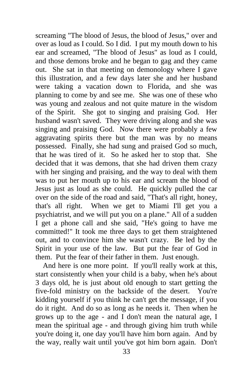screaming "The blood of Jesus, the blood of Jesus," over and over as loud as I could. So I did. I put my mouth down to his ear and screamed, "The blood of Jesus" as loud as I could, and those demons broke and he began to gag and they came out. She sat in that meeting on demonology where I gave this illustration, and a few days later she and her husband were taking a vacation down to Florida, and she was planning to come by and see me. She was one of these who was young and zealous and not quite mature in the wisdom of the Spirit. She got to singing and praising God. Her husband wasn't saved. They were driving along and she was singing and praising God. Now there were probably a few aggravating spirits there but the man was by no means possessed. Finally, she had sung and praised God so much, that he was tired of it. So he asked her to stop that. She decided that it was demons, that she had driven them crazy with her singing and praising, and the way to deal with them was to put her mouth up to his ear and scream the blood of Jesus just as loud as she could. He quickly pulled the car over on the side of the road and said, "That's all right, honey, that's all right. When we get to Miami I'll get you a psychiatrist, and we will put you on a plane." All of a sudden I get a phone call and she said, "He's going to have me committed!" It took me three days to get them straightened out, and to convince him she wasn't crazy. Be led by the Spirit in your use of the law. But put the fear of God in them. Put the fear of their father in them. Just enough.

 And here is one more point. If you'll really work at this, start consistently when your child is a baby, when he's about 3 days old, he is just about old enough to start getting the five-fold ministry on the backside of the desert. You're kidding yourself if you think he can't get the message, if you do it right. And do so as long as he needs it. Then when he grows up to the age - and I don't mean the natural age, I mean the spiritual age - and through giving him truth while you're doing it, one day you'll have him born again. And by the way, really wait until you've got him born again. Don't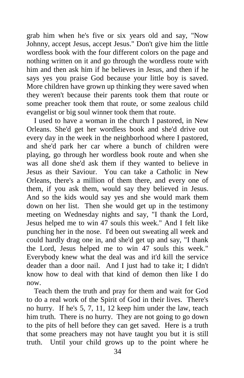grab him when he's five or six years old and say, "Now Johnny, accept Jesus, accept Jesus." Don't give him the little wordless book with the four different colors on the page and nothing written on it and go through the wordless route with him and then ask him if he believes in Jesus, and then if he says yes you praise God because your little boy is saved. More children have grown up thinking they were saved when they weren't because their parents took them that route or some preacher took them that route, or some zealous child evangelist or big soul winner took them that route.

 I used to have a woman in the church I pastored, in New Orleans. She'd get her wordless book and she'd drive out every day in the week in the neighborhood where I pastored, and she'd park her car where a bunch of children were playing, go through her wordless book route and when she was all done she'd ask them if they wanted to believe in Jesus as their Saviour. You can take a Catholic in New Orleans, there's a million of them there, and every one of them, if you ask them, would say they believed in Jesus. And so the kids would say yes and she would mark them down on her list. Then she would get up in the testimony meeting on Wednesday nights and say, "I thank the Lord, Jesus helped me to win 47 souls this week." And I felt like punching her in the nose. I'd been out sweating all week and could hardly drag one in, and she'd get up and say, "I thank the Lord, Jesus helped me to win 47 souls this week." Everybody knew what the deal was and it'd kill the service deader than a door nail. And I just had to take it; I didn't know how to deal with that kind of demon then like I do now.

 Teach them the truth and pray for them and wait for God to do a real work of the Spirit of God in their lives. There's no hurry. If he's 5, 7, 11, 12 keep him under the law, teach him truth. There is no hurry. They are not going to go down to the pits of hell before they can get saved. Here is a truth that some preachers may not have taught you but it is still truth. Until your child grows up to the point where he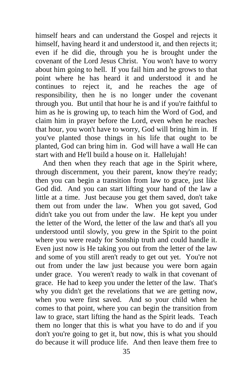himself hears and can understand the Gospel and rejects it himself, having heard it and understood it, and then rejects it; even if he did die, through you he is brought under the covenant of the Lord Jesus Christ. You won't have to worry about him going to hell. If you fail him and he grows to that point where he has heard it and understood it and he continues to reject it, and he reaches the age of responsibility, then he is no longer under the covenant through you. But until that hour he is and if you're faithful to him as he is growing up, to teach him the Word of God, and claim him in prayer before the Lord, even when he reaches that hour, you won't have to worry, God will bring him in. If you've planted those things in his life that ought to be planted, God can bring him in. God will have a wall He can start with and He'll build a house on it. Hallelujah!

 And then when they reach that age in the Spirit where, through discernment, you their parent, know they're ready; then you can begin a transition from law to grace, just like God did. And you can start lifting your hand of the law a little at a time. Just because you get them saved, don't take them out from under the law. When you got saved, God didn't take you out from under the law. He kept you under the letter of the Word, the letter of the law and that's all you understood until slowly, you grew in the Spirit to the point where you were ready for Sonship truth and could handle it. Even just now is He taking you out from the letter of the law and some of you still aren't ready to get out yet. You're not out from under the law just because you were born again under grace. You weren't ready to walk in that covenant of grace. He had to keep you under the letter of the law. That's why you didn't get the revelations that we are getting now, when you were first saved. And so your child when he comes to that point, where you can begin the transition from law to grace, start lifting the hand as the Spirit leads. Teach them no longer that this is what you have to do and if you don't you're going to get it, but now, this is what you should do because it will produce life. And then leave them free to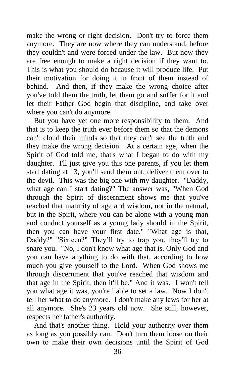make the wrong or right decision. Don't try to force them anymore. They are now where they can understand, before they couldn't and were forced under the law. But now they are free enough to make a right decision if they want to. This is what you should do because it will produce life. Put their motivation for doing it in front of them instead of behind. And then, if they make the wrong choice after you've told them the truth, let them go and suffer for it and let their Father God begin that discipline, and take over where you can't do anymore.

 But you have yet one more responsibility to them. And that is to keep the truth ever before them so that the demons can't cloud their minds so that they can't see the truth and they make the wrong decision. At a certain age, when the Spirit of God told me, that's what I began to do with my daughter. I'll just give you this one parents, if you let them start dating at 13, you'll send them out, deliver them over to the devil. This was the big one with my daughter. "Daddy, what age can I start dating?" The answer was, "When God through the Spirit of discernment shows me that you've reached that maturity of age and wisdom, not in the natural, but in the Spirit, where you can be alone with a young man and conduct yourself as a young lady should in the Spirit, then you can have your first date." "What age is that, Daddy?" "Sixteen?" They'll try to trap you, they'll try to snare you. "No, I don't know what age that is. Only God and you can have anything to do with that, according to how much you give yourself to the Lord. When God shows me through discernment that you've reached that wisdom and that age in the Spirit, then it'll be." And it was. I won't tell you what age it was, you're liable to set a law. Now I don't tell her what to do anymore. I don't make any laws for her at all anymore. She's 23 years old now. She still, however, respects her father's authority.

And that's another thing. Hold your authority over them as long as you possibly can. Don't turn them loose on their own to make their own decisions until the Spirit of God